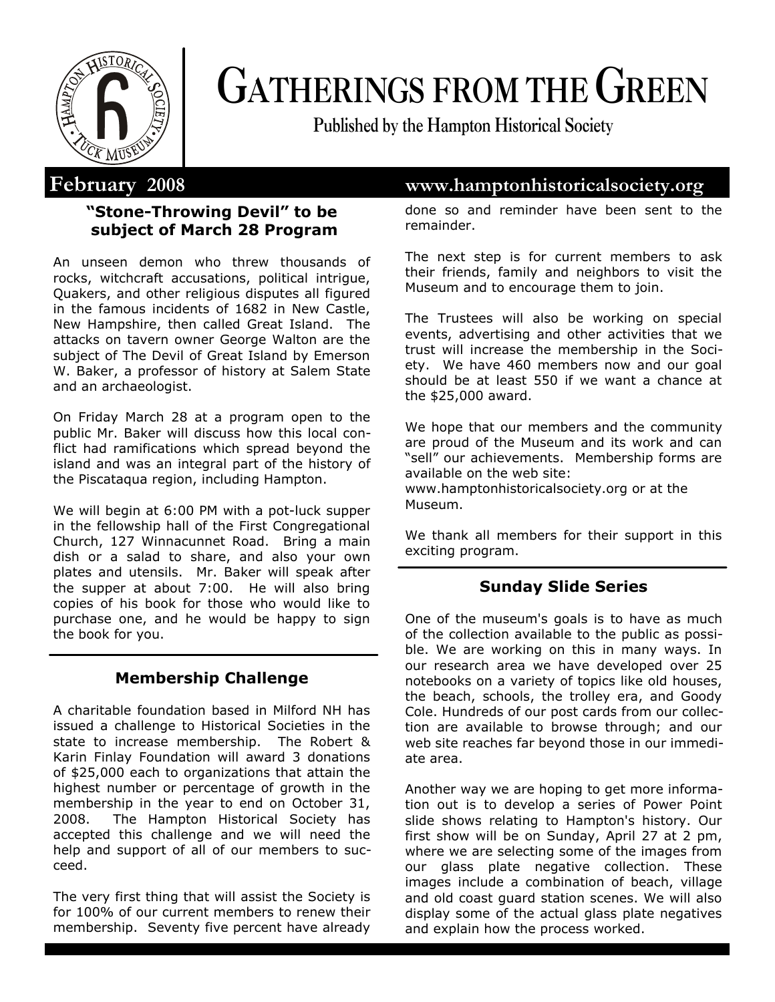

# **GATHERINGS FROM THE GREEN**

**Published by the Hampton Historical Society**

# **"Stone-Throwing Devil" to be subject of March 28 Program**

An unseen demon who threw thousands of rocks, witchcraft accusations, political intrigue, Quakers, and other religious disputes all figured in the famous incidents of 1682 in New Castle, New Hampshire, then called Great Island. The attacks on tavern owner George Walton are the subject of The Devil of Great Island by Emerson W. Baker, a professor of history at Salem State and an archaeologist.

On Friday March 28 at a program open to the public Mr. Baker will discuss how this local conflict had ramifications which spread beyond the island and was an integral part of the history of the Piscataqua region, including Hampton.

We will begin at 6:00 PM with a pot-luck supper in the fellowship hall of the First Congregational Church, 127 Winnacunnet Road. Bring a main dish or a salad to share, and also your own plates and utensils. Mr. Baker will speak after the supper at about 7:00. He will also bring copies of his book for those who would like to purchase one, and he would be happy to sign the book for you.

# **Membership Challenge**

A charitable foundation based in Milford NH has issued a challenge to Historical Societies in the state to increase membership. The Robert & Karin Finlay Foundation will award 3 donations of \$25,000 each to organizations that attain the highest number or percentage of growth in the membership in the year to end on October 31, 2008. The Hampton Historical Society has accepted this challenge and we will need the help and support of all of our members to succeed.

The very first thing that will assist the Society is for 100% of our current members to renew their membership. Seventy five percent have already

# **February 2008 www.hamptonhistoricalsociety.org**

done so and reminder have been sent to the remainder.

The next step is for current members to ask their friends, family and neighbors to visit the Museum and to encourage them to join.

The Trustees will also be working on special events, advertising and other activities that we trust will increase the membership in the Society. We have 460 members now and our goal should be at least 550 if we want a chance at the \$25,000 award.

We hope that our members and the community are proud of the Museum and its work and can "sell" our achievements. Membership forms are available on the web site:

www.hamptonhistoricalsociety.org or at the Museum.

We thank all members for their support in this exciting program.

### **Sunday Slide Series**

One of the museum's goals is to have as much of the collection available to the public as possible. We are working on this in many ways. In our research area we have developed over 25 notebooks on a variety of topics like old houses, the beach, schools, the trolley era, and Goody Cole. Hundreds of our post cards from our collection are available to browse through; and our web site reaches far beyond those in our immediate area.

Another way we are hoping to get more information out is to develop a series of Power Point slide shows relating to Hampton's history. Our first show will be on Sunday, April 27 at 2 pm, where we are selecting some of the images from our glass plate negative collection. These images include a combination of beach, village and old coast guard station scenes. We will also display some of the actual glass plate negatives and explain how the process worked.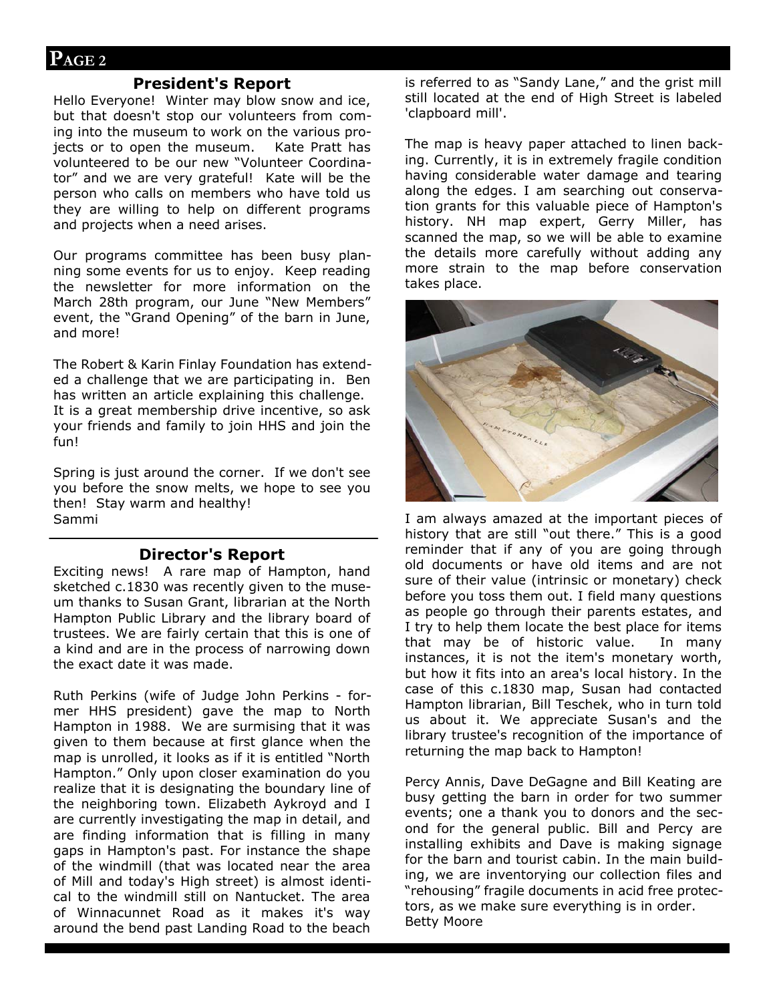#### **President's Report**

Hello Everyone! Winter may blow snow and ice, but that doesn't stop our volunteers from coming into the museum to work on the various projects or to open the museum. Kate Pratt has volunteered to be our new "Volunteer Coordinator" and we are very grateful! Kate will be the person who calls on members who have told us they are willing to help on different programs and projects when a need arises.

Our programs committee has been busy planning some events for us to enjoy. Keep reading the newsletter for more information on the March 28th program, our June "New Members" event, the "Grand Opening" of the barn in June, and more!

The Robert & Karin Finlay Foundation has extended a challenge that we are participating in. Ben has written an article explaining this challenge. It is a great membership drive incentive, so ask your friends and family to join HHS and join the fun!

Spring is just around the corner. If we don't see you before the snow melts, we hope to see you then! Stay warm and healthy! Sammi

#### **Director's Report**

Exciting news! A rare map of Hampton, hand sketched c.1830 was recently given to the museum thanks to Susan Grant, librarian at the North Hampton Public Library and the library board of trustees. We are fairly certain that this is one of a kind and are in the process of narrowing down the exact date it was made.

Ruth Perkins (wife of Judge John Perkins - former HHS president) gave the map to North Hampton in 1988. We are surmising that it was given to them because at first glance when the map is unrolled, it looks as if it is entitled "North Hampton." Only upon closer examination do you realize that it is designating the boundary line of the neighboring town. Elizabeth Aykroyd and I are currently investigating the map in detail, and are finding information that is filling in many gaps in Hampton's past. For instance the shape of the windmill (that was located near the area of Mill and today's High street) is almost identical to the windmill still on Nantucket. The area of Winnacunnet Road as it makes it's way around the bend past Landing Road to the beach

is referred to as "Sandy Lane," and the grist mill still located at the end of High Street is labeled 'clapboard mill'.

The map is heavy paper attached to linen backing. Currently, it is in extremely fragile condition having considerable water damage and tearing along the edges. I am searching out conservation grants for this valuable piece of Hampton's history. NH map expert, Gerry Miller, has scanned the map, so we will be able to examine the details more carefully without adding any more strain to the map before conservation takes place.



I am always amazed at the important pieces of history that are still "out there." This is a good reminder that if any of you are going through old documents or have old items and are not sure of their value (intrinsic or monetary) check before you toss them out. I field many questions as people go through their parents estates, and I try to help them locate the best place for items that may be of historic value. In many instances, it is not the item's monetary worth, but how it fits into an area's local history. In the case of this c.1830 map, Susan had contacted Hampton librarian, Bill Teschek, who in turn told us about it. We appreciate Susan's and the library trustee's recognition of the importance of returning the map back to Hampton!

Percy Annis, Dave DeGagne and Bill Keating are busy getting the barn in order for two summer events; one a thank you to donors and the second for the general public. Bill and Percy are installing exhibits and Dave is making signage for the barn and tourist cabin. In the main building, we are inventorying our collection files and "rehousing" fragile documents in acid free protectors, as we make sure everything is in order. Betty Moore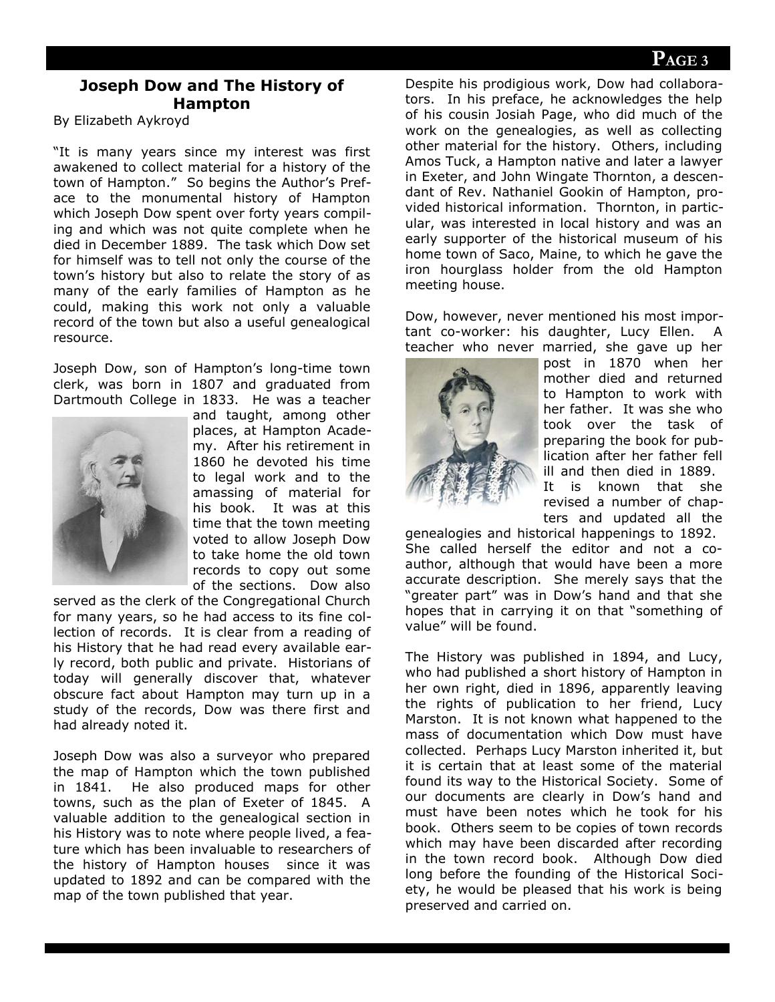# **Joseph Dow and The History of Hampton**

By Elizabeth Aykroyd

"It is many years since my interest was first awakened to collect material for a history of the town of Hampton." So begins the Author's Preface to the monumental history of Hampton which Joseph Dow spent over forty years compiling and which was not quite complete when he died in December 1889. The task which Dow set for himself was to tell not only the course of the town's history but also to relate the story of as many of the early families of Hampton as he could, making this work not only a valuable record of the town but also a useful genealogical resource.

Joseph Dow, son of Hampton's long-time town clerk, was born in 1807 and graduated from Dartmouth College in 1833. He was a teacher



and taught, among other places, at Hampton Academy. After his retirement in 1860 he devoted his time to legal work and to the amassing of material for his book. It was at this time that the town meeting voted to allow Joseph Dow to take home the old town records to copy out some of the sections. Dow also

served as the clerk of the Congregational Church for many years, so he had access to its fine collection of records. It is clear from a reading of his History that he had read every available early record, both public and private. Historians of today will generally discover that, whatever obscure fact about Hampton may turn up in a study of the records, Dow was there first and had already noted it.

Joseph Dow was also a surveyor who prepared the map of Hampton which the town published in 1841. He also produced maps for other towns, such as the plan of Exeter of 1845. A valuable addition to the genealogical section in his History was to note where people lived, a feature which has been invaluable to researchers of the history of Hampton houses since it was updated to 1892 and can be compared with the map of the town published that year.

Despite his prodigious work, Dow had collaborators. In his preface, he acknowledges the help of his cousin Josiah Page, who did much of the work on the genealogies, as well as collecting other material for the history. Others, including Amos Tuck, a Hampton native and later a lawyer in Exeter, and John Wingate Thornton, a descendant of Rev. Nathaniel Gookin of Hampton, provided historical information. Thornton, in particular, was interested in local history and was an early supporter of the historical museum of his home town of Saco, Maine, to which he gave the iron hourglass holder from the old Hampton meeting house.

Dow, however, never mentioned his most important co-worker: his daughter, Lucy Ellen. A teacher who never married, she gave up her



post in 1870 when her mother died and returned to Hampton to work with her father. It was she who took over the task of preparing the book for publication after her father fell ill and then died in 1889. It is known that she revised a number of chapters and updated all the

genealogies and historical happenings to 1892. She called herself the editor and not a coauthor, although that would have been a more accurate description. She merely says that the "greater part" was in Dow's hand and that she hopes that in carrying it on that "something of value" will be found.

The History was published in 1894, and Lucy, who had published a short history of Hampton in her own right, died in 1896, apparently leaving the rights of publication to her friend, Lucy Marston. It is not known what happened to the mass of documentation which Dow must have collected. Perhaps Lucy Marston inherited it, but it is certain that at least some of the material found its way to the Historical Society. Some of our documents are clearly in Dow's hand and must have been notes which he took for his book. Others seem to be copies of town records which may have been discarded after recording in the town record book. Although Dow died long before the founding of the Historical Society, he would be pleased that his work is being preserved and carried on.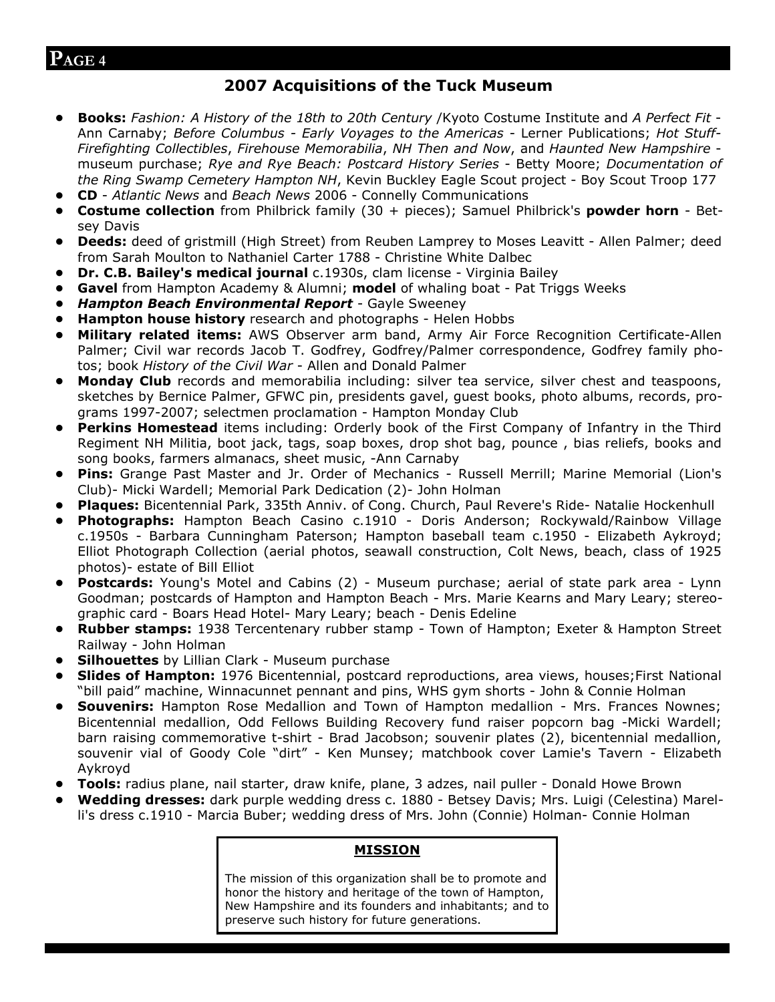#### **2007 Acquisitions of the Tuck Museum**

- **Books:** *Fashion: A History of the 18th to 20th Century* /Kyoto Costume Institute and *A Perfect Fit* Ann Carnaby; *Before Columbus - Early Voyages to the Americas* - Lerner Publications; *Hot Stuff-Firefighting Collectibles*, *Firehouse Memorabilia*, *NH Then and Now*, and *Haunted New Hampshire* museum purchase; *Rye and Rye Beach: Postcard History Series* - Betty Moore; *Documentation of the Ring Swamp Cemetery Hampton NH*, Kevin Buckley Eagle Scout project - Boy Scout Troop 177
- **CD** *Atlantic News* and *Beach News* 2006 Connelly Communications
- **Costume collection** from Philbrick family (30 + pieces); Samuel Philbrick's **powder horn** Betsey Davis
- **Deeds:** deed of gristmill (High Street) from Reuben Lamprey to Moses Leavitt Allen Palmer; deed from Sarah Moulton to Nathaniel Carter 1788 - Christine White Dalbec
- **Dr. C.B. Bailey's medical journal** c.1930s, clam license Virginia Bailey
- **Gavel** from Hampton Academy & Alumni; **model** of whaling boat Pat Triggs Weeks
- *Hampton Beach Environmental Report* Gayle Sweeney
- **Hampton house history** research and photographs Helen Hobbs
- **Military related items:** AWS Observer arm band, Army Air Force Recognition Certificate-Allen Palmer; Civil war records Jacob T. Godfrey, Godfrey/Palmer correspondence, Godfrey family photos; book *History of the Civil War* - Allen and Donald Palmer
- **Monday Club** records and memorabilia including: silver tea service, silver chest and teaspoons, sketches by Bernice Palmer, GFWC pin, presidents gavel, guest books, photo albums, records, programs 1997-2007; selectmen proclamation - Hampton Monday Club
- **Perkins Homestead** items including: Orderly book of the First Company of Infantry in the Third Regiment NH Militia, boot jack, tags, soap boxes, drop shot bag, pounce , bias reliefs, books and song books, farmers almanacs, sheet music, -Ann Carnaby
- **Pins:** Grange Past Master and Jr. Order of Mechanics Russell Merrill; Marine Memorial (Lion's Club)- Micki Wardell; Memorial Park Dedication (2)- John Holman
- **Plaques:** Bicentennial Park, 335th Anniv. of Cong. Church, Paul Revere's Ride- Natalie Hockenhull
- **Photographs:** Hampton Beach Casino c.1910 Doris Anderson; Rockywald/Rainbow Village c.1950s - Barbara Cunningham Paterson; Hampton baseball team c.1950 - Elizabeth Aykroyd; Elliot Photograph Collection (aerial photos, seawall construction, Colt News, beach, class of 1925 photos)- estate of Bill Elliot
- **Postcards:** Young's Motel and Cabins (2) Museum purchase; aerial of state park area Lynn Goodman; postcards of Hampton and Hampton Beach - Mrs. Marie Kearns and Mary Leary; stereographic card - Boars Head Hotel- Mary Leary; beach - Denis Edeline
- **Rubber stamps:** 1938 Tercentenary rubber stamp Town of Hampton; Exeter & Hampton Street Railway - John Holman
- **Silhouettes** by Lillian Clark Museum purchase
- **Slides of Hampton:** 1976 Bicentennial, postcard reproductions, area views, houses;First National "bill paid" machine, Winnacunnet pennant and pins, WHS gym shorts - John & Connie Holman
- **Souvenirs:** Hampton Rose Medallion and Town of Hampton medallion Mrs. Frances Nownes; Bicentennial medallion, Odd Fellows Building Recovery fund raiser popcorn bag -Micki Wardell; barn raising commemorative t-shirt - Brad Jacobson; souvenir plates (2), bicentennial medallion, souvenir vial of Goody Cole "dirt" - Ken Munsey; matchbook cover Lamie's Tavern - Elizabeth Aykroyd
- **Tools:** radius plane, nail starter, draw knife, plane, 3 adzes, nail puller Donald Howe Brown
- **Wedding dresses:** dark purple wedding dress c. 1880 Betsey Davis; Mrs. Luigi (Celestina) Marelli's dress c.1910 - Marcia Buber; wedding dress of Mrs. John (Connie) Holman- Connie Holman

#### **MISSION**

The mission of this organization shall be to promote and honor the history and heritage of the town of Hampton, New Hampshire and its founders and inhabitants; and to preserve such history for future generations.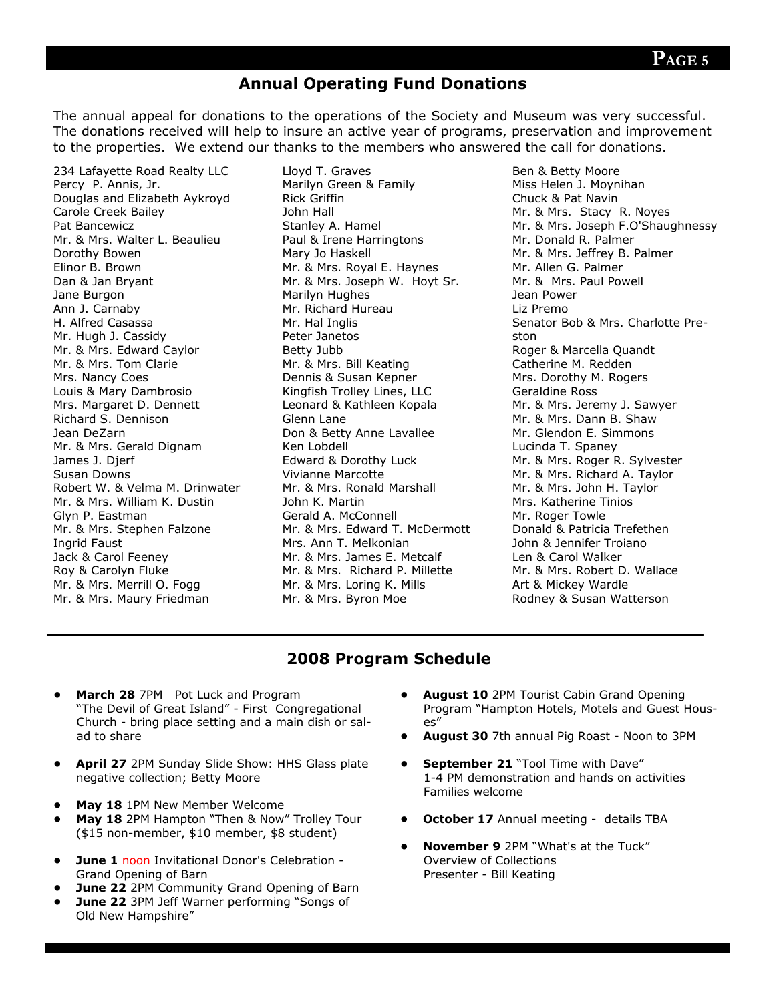#### **Annual Operating Fund Donations**

The annual appeal for donations to the operations of the Society and Museum was very successful. The donations received will help to insure an active year of programs, preservation and improvement to the properties. We extend our thanks to the members who answered the call for donations.

234 Lafayette Road Realty LLC Percy P. Annis, Jr. Douglas and Elizabeth Aykroyd Carole Creek Bailey Pat Bancewicz Mr. & Mrs. Walter L. Beaulieu Dorothy Bowen Elinor B. Brown Dan & Jan Bryant Jane Burgon Ann J. Carnaby H. Alfred Casassa Mr. Hugh J. Cassidy Mr. & Mrs. Edward Caylor Mr. & Mrs. Tom Clarie Mrs. Nancy Coes Louis & Mary Dambrosio Mrs. Margaret D. Dennett Richard S. Dennison Jean DeZarn Mr. & Mrs. Gerald Dignam James J. Djerf Susan Downs Robert W. & Velma M. Drinwater Mr. & Mrs. William K. Dustin Glyn P. Eastman Mr. & Mrs. Stephen Falzone Ingrid Faust Jack & Carol Feeney Roy & Carolyn Fluke Mr. & Mrs. Merrill O. Fogg Mr. & Mrs. Maury Friedman

Lloyd T. Graves Marilyn Green & Family Rick Griffin John Hall Stanley A. Hamel Paul & Irene Harringtons Mary Jo Haskell Mr. & Mrs. Royal E. Haynes Mr. & Mrs. Joseph W. Hoyt Sr. Marilyn Hughes Mr. Richard Hureau Mr. Hal Inglis Peter Janetos Betty Jubb Mr. & Mrs. Bill Keating Dennis & Susan Kepner Kingfish Trolley Lines, LLC Leonard & Kathleen Kopala Glenn Lane Don & Betty Anne Lavallee Ken Lobdell Edward & Dorothy Luck Vivianne Marcotte Mr. & Mrs. Ronald Marshall John K. Martin Gerald A. McConnell Mr. & Mrs. Edward T. McDermott Mrs. Ann T. Melkonian Mr. & Mrs. James E. Metcalf Mr. & Mrs. Richard P. Millette Mr. & Mrs. Loring K. Mills Mr. & Mrs. Byron Moe

Ben & Betty Moore Miss Helen J. Moynihan Chuck & Pat Navin Mr. & Mrs. Stacy R. Noyes Mr. & Mrs. Joseph F.O'Shaughnessy Mr. Donald R. Palmer Mr. & Mrs. Jeffrey B. Palmer Mr. Allen G. Palmer Mr. & Mrs. Paul Powell Jean Power Liz Premo Senator Bob & Mrs. Charlotte Preston Roger & Marcella Quandt Catherine M. Redden Mrs. Dorothy M. Rogers Geraldine Ross Mr. & Mrs. Jeremy J. Sawyer Mr. & Mrs. Dann B. Shaw Mr. Glendon E. Simmons Lucinda T. Spaney Mr. & Mrs. Roger R. Sylvester Mr. & Mrs. Richard A. Taylor Mr. & Mrs. John H. Taylor Mrs. Katherine Tinios Mr. Roger Towle Donald & Patricia Trefethen John & Jennifer Troiano Len & Carol Walker Mr. & Mrs. Robert D. Wallace Art & Mickey Wardle Rodney & Susan Watterson

#### **2008 Program Schedule**

- **March 28** 7PM Pot Luck and Program "The Devil of Great Island" - First Congregational Church - bring place setting and a main dish or salad to share
- **April 27** 2PM Sunday Slide Show: HHS Glass plate negative collection; Betty Moore
- **May 18** 1PM New Member Welcome
- **May 18** 2PM Hampton "Then & Now" Trolley Tour (\$15 non-member, \$10 member, \$8 student)
- **June 1** noon Invitational Donor's Celebration Grand Opening of Barn
- **June 22** 2PM Community Grand Opening of Barn
- **June 22** 3PM Jeff Warner performing "Songs of Old New Hampshire"
- **August 10** 2PM Tourist Cabin Grand Opening Program "Hampton Hotels, Motels and Guest Houses"
- **August 30** 7th annual Pig Roast Noon to 3PM
- **September 21** "Tool Time with Dave" 1-4 PM demonstration and hands on activities Families welcome
- **October 17** Annual meeting details TBA
- **November 9** 2PM "What's at the Tuck" Overview of Collections Presenter - Bill Keating